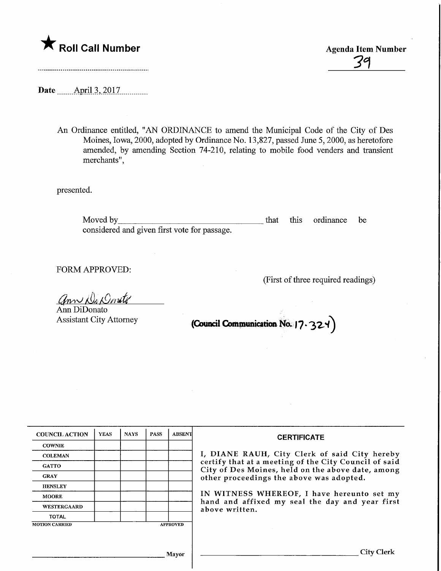

39

Date .April.3,.2017.

An Ordinance entitled, "AN ORDINANCE to amend the Municipal Code of the City of Des Moines, Iowa, 2000, adopted by Ordinance No. 13,827, passed June 5, 2000, as heretofore amended, by amending Section 74-210, relating to mobile food venders and transient merchants",

presented.

Moved by that this ordinance be considered and given first vote for passage.

FORM APPROVED:

(First of three required readings)

ann Di Donito

Ann DiDonato Assistant City Attorney

(Council Communication No.  $|7.324\rangle$ 

| <b>COUNCIL ACTION</b> | <b>YEAS</b> | <b>NAYS</b> | <b>PASS</b> | ABSENT          | <b>CERTIFICATE</b><br>I, DIANE RAUH, City Clerk of said City hereby<br>certify that at a meeting of the City Council of said<br>City of Des Moines, held on the above date, among<br>other proceedings the above was adopted.<br>IN WITNESS WHEREOF, I have hereunto set my<br>hand and affixed my seal the day and year first<br>above written. |
|-----------------------|-------------|-------------|-------------|-----------------|--------------------------------------------------------------------------------------------------------------------------------------------------------------------------------------------------------------------------------------------------------------------------------------------------------------------------------------------------|
| <b>COWNIE</b>         |             |             |             |                 |                                                                                                                                                                                                                                                                                                                                                  |
| <b>COLEMAN</b>        |             |             |             |                 |                                                                                                                                                                                                                                                                                                                                                  |
| <b>GATTO</b>          |             |             |             |                 |                                                                                                                                                                                                                                                                                                                                                  |
| <b>GRAY</b>           |             |             |             |                 |                                                                                                                                                                                                                                                                                                                                                  |
| <b>HENSLEY</b>        |             |             |             |                 |                                                                                                                                                                                                                                                                                                                                                  |
| <b>MOORE</b>          |             |             |             |                 |                                                                                                                                                                                                                                                                                                                                                  |
| WESTERGAARD           |             |             |             |                 |                                                                                                                                                                                                                                                                                                                                                  |
| <b>TOTAL</b>          |             |             |             |                 |                                                                                                                                                                                                                                                                                                                                                  |
| <b>MOTION CARRIED</b> |             |             |             | <b>APPROVED</b> |                                                                                                                                                                                                                                                                                                                                                  |
|                       |             |             |             |                 |                                                                                                                                                                                                                                                                                                                                                  |
|                       |             |             |             |                 |                                                                                                                                                                                                                                                                                                                                                  |
| Mavor                 |             |             |             |                 | City Clerk                                                                                                                                                                                                                                                                                                                                       |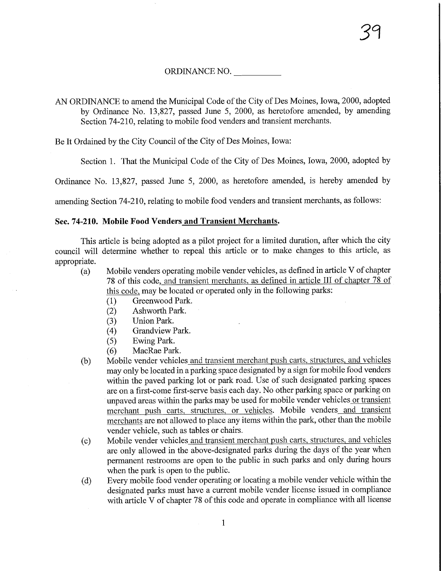ORDINANCE NO.

AN ORDINANCE to amend the Municipal Code of the City of Des Moines, Iowa, 2000, adopted by Ordinance No. 13,827, passed June 5, 2000, as heretofore amended, by amending Section 74-210, relating to mobile food venders and transient merchants.

Be It Ordained by the City Council of the City of Des Moines, Iowa:

Section 1. That the Municipal Code of the City of Des Moines, Iowa, 2000, adopted by

Ordinance No. 13,827, passed June 5, 2000, as heretofore amended, is hereby amended by

amending Section 74-210, relating to mobile food venders and transient merchants, as follows:

## Sec. 74-210. Mobile Food Venders and Transient Merchants.

This article is being adopted as a pilot project for a limited duration, after which the city council will determine whether to repeal this article or to make changes to this article, as appropriate.

- (a) Mobile venders operating mobile vender vehicles, as defined in article V of chapter 78 of this code, and transient merchants, as defined in article III of chapter 78 of this code, may be located or operated only in the following parks:
	- (1) Greenwood Park.
	- (2) Ashworth Park.
	- (3) Union Park.
	- (4) Grandview Park.
	- (5) Ewing Park.
	- (6) MacRae Park.
- (b) Mobile vender vehicles and transient merchant push carts, structures, and vehicles may only be located in a parking space designated by a sign for mobile food venders within the paved parking lot or park road. Use of such designated parking spaces are on a first-come first-serve basis each day. No other parking space or parking on unpaved areas within the parks may be used for mobile vender vehicles or transient merchant push carts, structures, or vehicles. Mobile venders and transient merchants are not allowed to place any items within the park, other than the mobile vender vehicle, such as tables or chairs.
- (c) Mobile vender vehicles and transient merchant push carts, structures, and vehicles are only allowed in the above-designated parks during the days of the year when permanent restrooms are open to the public in such parks and only during hours when the park is open to the public.
- (d) Every mobile food vender operating or locating a mobile vender vehicle within the designated parks must have a current mobile vender license issued in compliance with article V of chapter 78 of this code and operate in compliance with all license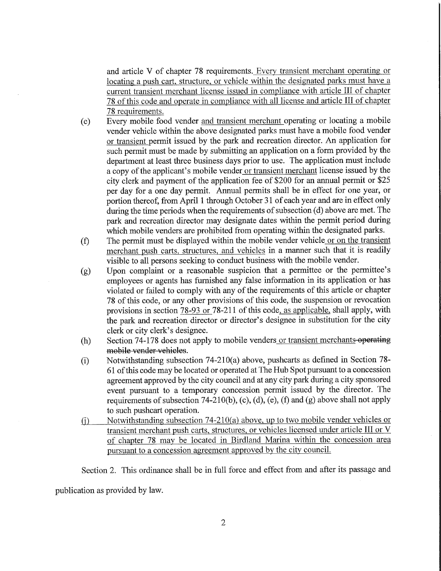and article V of chapter 78 requirements. Every transient merchant operating or locating a push cart, structure, or vehicle within the designated parks must have a current transient merchant license issued in compliance with article III of chapter 78 of this code and operate in compliance with all license and article III of chapter 78 requirements.

- (e) Every mobile food vender and transient merchant operating or locating a mobile vender vehicle within the above designated parks must have a mobile food vender or transient permit issued by the park and recreation director. An application for such permit must be made by submitting an application on a form provided by the department at least three business days prior to use. The application must include a copy of the applicant's mobile vender or transient merchant license issued by the city clerk and payment of the application fee of \$200 for an annual permit or \$25 per day for a one day permit. Annual permits shall be in effect for one year, or portion thereof, from April 1 through October 31 of each year and are in effect only during the time periods when the requirements of subsection (d) above are met. The park and recreation director may designate dates within the permit period during which mobile venders are prohibited from operating within the designated parks.
- (f) The permit must be displayed within the mobile vender vehicle or on the transient merchant push carts, structures, and vehicles in a manner such that it is readily visible to all persons seeking to conduct business with the mobile vender.
- (g) Upon complaint or a reasonable suspicion that a permittee or the permittee's employees or agents has furnished any false information in its application or has violated or failed to comply with any of the requirements of this article or chapter 78 of this code, or any other provisions of this code, the suspension or revocation provisions in section  $78-93$  or  $78-211$  of this code, as applicable, shall apply, with the park and recreation director or director's designee in substitution for the city clerk or city clerk's designee.
- (h) Section 74-178 does not apply to mobile venders or transient merchants-operating mobile vender vehicles.
- (i) Notwithstanding subsection 74-210(a) above, pushcarts as defined in Section 78- 61 of this code may be located or operated at The Hub Spot pursuant to a concession agreement approved by the city council and at any city park during a city sponsored event pursuant to a temporary concession permit issued by the director. The requirements of subsection 74-210(b), (c), (d), (e), (f) and (g) above shall not apply to such pushcart operation.
- (i) Notwithstanding subsection  $74-210(a)$  above, up to two mobile vender vehicles or transient merchant push carts, structures, or vehicles licensed under article III or V of chapter 78 may be located in Birdland Marina within the concession area pursuant to a concession agreement approved by the city council.

Section 2. This ordinance shall be in full force and effect from and after its passage and

publication as provided by law.